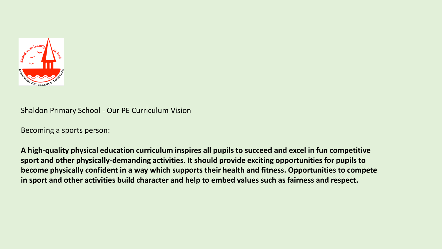

Shaldon Primary School - Our PE Curriculum Vision

Becoming a sports person:

**A high-quality physical education curriculum inspires all pupils to succeed and excel in fun competitive sport and other physically-demanding activities. It should provide exciting opportunities for pupils to become physically confident in a way which supports their health and fitness. Opportunities to compete in sport and other activities build character and help to embed values such as fairness and respect.**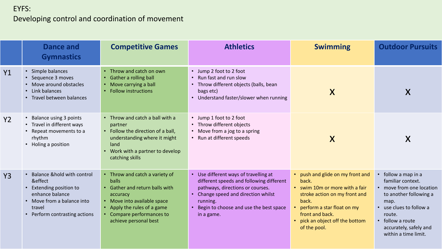### EYFS:

# Developing control and coordination of movement

|                | Dance and<br><b>Gymnastics</b>                                                                                                                                        | <b>Competitive Games</b>                                                                                                                                                                          | <b>Athletics</b>                                                                                                                                                                                                                                         | <b>Swimming</b>                                                                                                                                                                                                       | <b>Outdoor Pursuits</b>                                                                                                                                                                                         |
|----------------|-----------------------------------------------------------------------------------------------------------------------------------------------------------------------|---------------------------------------------------------------------------------------------------------------------------------------------------------------------------------------------------|----------------------------------------------------------------------------------------------------------------------------------------------------------------------------------------------------------------------------------------------------------|-----------------------------------------------------------------------------------------------------------------------------------------------------------------------------------------------------------------------|-----------------------------------------------------------------------------------------------------------------------------------------------------------------------------------------------------------------|
| <b>Y1</b>      | • Simple balances<br>• Sequence 3 moves<br>• Move around obstacles<br>• Link balances<br>• Travel between balances                                                    | Throw and catch on own<br>Gather a rolling ball<br>$\bullet$<br>Move carrying a ball<br><b>Follow instructions</b>                                                                                | • Jump 2 foot to 2 foot<br>• Run fast and run slow<br>• Throw different objects (balls, bean<br>bags etc)<br>• Understand faster/slower when running                                                                                                     | X                                                                                                                                                                                                                     | X                                                                                                                                                                                                               |
| Y2             | <b>Balance using 3 points</b><br>• Travel in different ways<br>• Repeat movements to a<br>rhythm<br>• Holing a position                                               | • Throw and catch a ball with a<br>partner<br>• Follow the direction of a ball,<br>understanding where it might<br>land<br>Work with a partner to develop<br>$\bullet$<br>catching skills         | • Jump 1 foot to 2 foot<br>Throw different objects<br>• Move from a jog to a spring<br>• Run at different speeds                                                                                                                                         | X                                                                                                                                                                                                                     | X                                                                                                                                                                                                               |
| Y <sub>3</sub> | <b>Balance &amp;hold with control</b><br>&effect<br>Extending position to<br>enhance balance<br>• Move from a balance into<br>travel<br>• Perform contrasting actions | • Throw and catch a variety of<br>balls<br>Gather and return balls with<br>accuracy<br>Move into available space<br>Apply the rules of a game<br>Compare performances to<br>achieve personal best | • Use different ways of travelling at<br>different speeds and following different<br>pathways, directions or courses.<br>Change speed and direction whilst<br>$\bullet$<br>running.<br>Begin to choose and use the best space<br>$\bullet$<br>in a game. | push and glide on my front and<br>back.<br>• swim 10m or more with a fair<br>stroke action on my front and<br>back.<br>perform a star float on my<br>front and back.<br>pick an object off the bottom<br>of the pool. | follow a map in a<br>familiar context.<br>• move from one location<br>to another following a<br>map.<br>• use clues to follow a<br>route.<br>• follow a route<br>accurately, safely and<br>within a time limit. |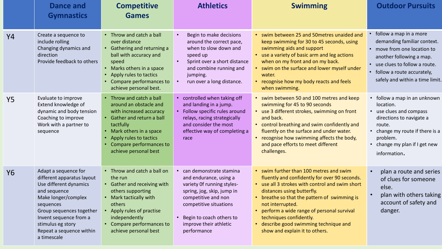|           | Dance and<br><b>Gymnastics</b>                                                                                                                                                                                                                         | <b>Competitive</b><br><b>Games</b>                                                                                                                                                                                               | <b>Athletics</b>                                                                                                                                                                                                                    | <b>Swimming</b>                                                                                                                                                                                                                                                                                                                                                                                     | <b>Outdoor Pursuits</b>                                                                                                                                                                                         |
|-----------|--------------------------------------------------------------------------------------------------------------------------------------------------------------------------------------------------------------------------------------------------------|----------------------------------------------------------------------------------------------------------------------------------------------------------------------------------------------------------------------------------|-------------------------------------------------------------------------------------------------------------------------------------------------------------------------------------------------------------------------------------|-----------------------------------------------------------------------------------------------------------------------------------------------------------------------------------------------------------------------------------------------------------------------------------------------------------------------------------------------------------------------------------------------------|-----------------------------------------------------------------------------------------------------------------------------------------------------------------------------------------------------------------|
| Y4        | Create a sequence to<br>include rolling<br>Changing dynamics and<br>direction<br>Provide feedback to others                                                                                                                                            | • Throw and catch a ball<br>over distance<br>• Gathering and returning a<br>ball with accuracy and<br>speed<br>• Marks others in a space<br>Apply rules to tactics<br>Compare performances to<br>achieve personal best.          | Begin to make decisions<br>around the correct pace,<br>when to slow down and<br>speed up<br>Sprint over a short distance<br>and combine running and<br>jumping.<br>run over a long distance.                                        | • swim between 25 and 50 metres unaided and<br>keep swimming for 30 to 45 seconds, using<br>swimming aids and support<br>• use a variety of basic arm and leg actions<br>when on my front and on my back.<br>• swim on the surface and lower myself under<br>water.<br>• recognise how my body reacts and feels<br>when swimming.                                                                   | follow a map in a more<br>demanding familiar context.<br>move from one location to<br>another following a map.<br>use clues to follow a route.<br>follow a route accurately,<br>safely and within a time limit. |
| <b>Y5</b> | Evaluate to improve<br>Extend knowledge of<br>dynamic and body tension<br>Coaching to improve<br>Work with a partner to<br>sequence                                                                                                                    | Throw and catch a ball<br>around an obstacle and<br>with increased accuracy<br>• Gather and return a ball<br>tactfully<br>• Mark others in a space<br>Apply rules to tactics<br>Compare performances to<br>achieve personal best | controlled when taking off<br>and landing in a jump.<br>Follow specific rules around<br>relays, racing strategically<br>and consider the most<br>effective way of completing a<br>race                                              | • swim between 50 and 100 metres and keep<br>swimming for 45 to 90 seconds<br>• use 3 different strokes, swimming on front<br>and back.<br>• control breathing and swim confidently and<br>fluently on the surface and under water.<br>recognise how swimming affects the body,<br>and pace efforts to meet different<br>challenges.                                                                | • follow a map in an unknown<br>location.<br>• use clues and compass<br>directions to navigate a<br>route.<br>• change my route if there is a<br>problem.<br>• change my plan if I get new<br>information.      |
| <b>Y6</b> | Adapt a sequence for<br>different apparatus layout<br>Use different dynamics<br>and sequence<br>Make longer/complex<br>sequences<br>Group sequences together<br>Invent sequence from a<br>stimulus eg story<br>Repeat a sequence within<br>a timescale | • Throw and catch a ball on<br>the run<br>• Gather and receiving with<br>others supporting<br>• Mark tactically with<br>others<br>• Apply rules of practise<br>independently<br>Compare performances to<br>achieve personal best | can demonstrate stamina<br>and endurance, using a<br>variety Of running styles-<br>spring, jog, skip, jump in<br>competitive and non<br>competitive situations<br>Begin to coach others to<br>improve their athletic<br>performance | • swim further than 100 metres and swim<br>fluently and confidently for over 90 seconds.<br>• use all 3 strokes with control and swim short<br>distances using butterfly.<br>• breathe so that the pattern of swimming is<br>not interrupted.<br>• perform a wide range of personal survival<br>techniques confidently.<br>• describe good swimming technique and<br>show and explain it to others. | plan a route and series<br>of clues for someone<br>else.<br>plan with others taking<br>account of safety and<br>danger.                                                                                         |